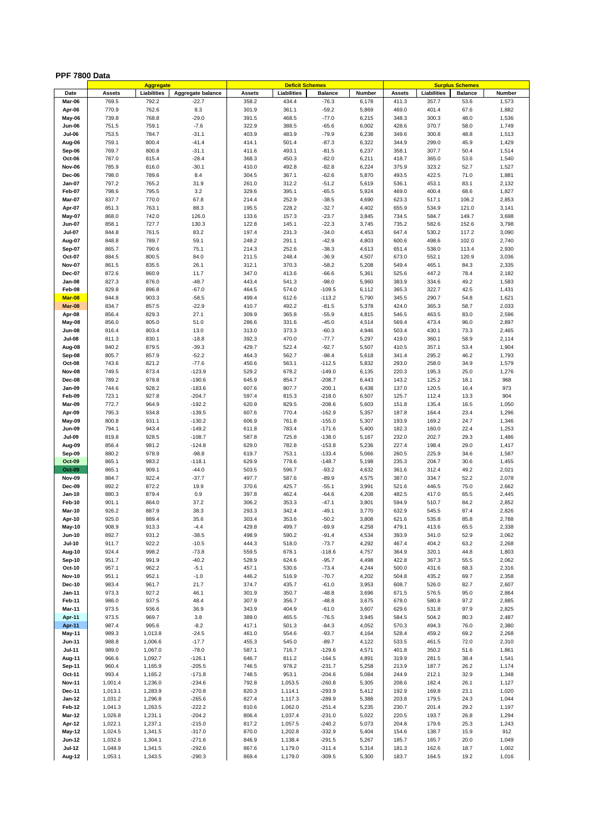## **PPF 7800 Data**

|               |         | Aggregate   |                   |        | <b>Deficit Schemes</b> |                |        |               | <b>Surplus Schemes</b> |                |                |
|---------------|---------|-------------|-------------------|--------|------------------------|----------------|--------|---------------|------------------------|----------------|----------------|
| Date          | Assets  | Liabilities | Aggregate balance | Assets | Liabilities            | <b>Balance</b> | Number | <b>Assets</b> | Liabilities            | <b>Balance</b> | Number         |
| Mar-06        | 769.5   | 792.2       | $-22.7$           | 358.2  | 434.4                  | $-76.3$        | 6,178  | 411.3         | 357.7                  | 53.6           | 1,573          |
| Apr-06        | 770.9   | 762.6       | 8.3               | 301.9  | 361.1                  | $-59.2$        | 5,869  | 469.0         | 401.4                  | 67.6           | 1,882          |
| May-06        | 739.8   | 768.8       | $-29.0$           | 391.5  | 468.5                  | $-77.0$        | 6,215  | 348.3         | 300.3                  | 48.0           | 1,536          |
| Jun-06        | 751.5   | 759.1       | $-7.6$            | 322.9  | 388.5                  | $-65.6$        | 6,002  | 428.6         | 370.7                  | 58.0           | 1,749          |
| <b>Jul-06</b> | 753.5   | 784.7       | $-31.1$           | 403.9  | 483.9                  | $-79.9$        | 6,238  | 349.6         | 300.8                  | 48.8           | 1,513          |
| Aug-06        | 759.1   | 800.4       | $-41.4$           | 414.1  | 501.4                  | $-87.3$        | 6,322  | 344.9         | 299.0                  | 45.9           | 1,429          |
| Sep-06        | 769.7   | 800.8       | $-31.1$           | 411.6  | 493.1                  | $-81.5$        | 6,237  | 358.1         | 307.7                  | 50.4           | 1,514          |
| Oct-06        | 787.0   | 815.4       | $-28.4$           | 368.3  | 450.3                  | $-82.0$        | 6,211  | 418.7         | 365.0                  | 53.6           | 1,540          |
| Nov-06        | 785.9   | 816.0       | $-30.1$           | 410.0  | 492.8                  | $-82.8$        | 6,224  | 375.9         | 323.2                  | 52.7           | 1,527          |
| Dec-06        | 798.0   | 789.6       | 8.4               | 304.5  | 367.1                  | $-62.6$        | 5,870  | 493.5         | 422.5                  | 71.0           | 1,881          |
| Jan-07        | 797.2   | 765.2       | 31.9              | 261.0  | 312.2                  | $-51.2$        | 5,619  | 536.1         | 453.1                  | 83.1           | 2,132          |
| Feb-07        | 798.6   | 795.5       | 3.2               | 329.6  | 395.1                  | $-65.5$        | 5,924  | 469.0         | 400.4                  | 68.6           | 1,827          |
| Mar-07        | 837.7   | 770.0       | 67.8              | 214.4  | 252.9                  | $-38.5$        | 4,690  | 623.3         | 517.1                  | 106.2          | 2,853          |
| Apr-07        | 851.3   | 763.1       | 88.3              | 195.5  | 228.2                  | $-32.7$        | 4,402  | 655.9         | 534.9                  | 121.0          | 3,141          |
| May-07        | 868.0   | 742.0       | 126.0             | 133.6  | 157.3                  | $-23.7$        | 3,845  | 734.5         | 584.7                  | 149.7          | 3,698          |
| Jun-07        | 858.1   | 727.7       | 130.3             | 122.8  | 145.1                  | $-22.3$        | 3,745  | 735.2         | 582.6                  | 152.6          | 3,798          |
| <b>Jul-07</b> | 844.8   | 761.5       | 83.2              | 197.4  | 231.3                  | $-34.0$        | 4,453  | 647.4         | 530.2                  | 117.2          | 3,090          |
| Aug-07        | 848.8   | 789.7       | 59.1              | 248.2  | 291.1                  | $-42.9$        | 4,803  | 600.6         | 498.6                  | 102.0          | 2,740          |
| <b>Sep-07</b> | 865.7   | 790.6       | 75.1              | 214.3  | 252.6                  | $-38.3$        | 4,613  | 651.4         | 538.0                  | 113.4          | 2,930          |
| Oct-07        |         |             | 84.0              |        |                        | $-36.9$        |        |               |                        | 120.9          | 3,036          |
|               | 884.5   | 800.5       |                   | 211.5  | 248.4                  |                | 4,507  | 673.0         | 552.1                  |                |                |
| <b>Nov-07</b> | 861.5   | 835.5       | 26.1              | 312.1  | 370.3                  | $-58.2$        | 5,208  | 549.4         | 465.1                  | 84.3           | 2,335          |
| Dec-07        | 872.6   | 860.9       | 11.7              | 347.0  | 413.6                  | $-66.6$        | 5,361  | 525.6         | 447.2                  | 78.4           | 2,182          |
| Jan-08        | 827.3   | 876.0       | $-48.7$           | 443.4  | 541.3                  | $-98.0$        | 5,960  | 383.9         | 334.6                  | 49.2           | 1,583          |
| Feb-08        | 829.8   | 896.8       | $-67.0$           | 464.5  | 574.0                  | $-109.5$       | 6,112  | 365.3         | 322.7                  | 42.5           | 1,431          |
| Mar-08        | 844.8   | 903.3       | $-58.5$           | 499.4  | 612.6                  | $-113.2$       | 5,790  | 345.5         | 290.7                  | 54.8           | 1,621          |
| Mar-08        | 834.7   | 857.5       | $-22.9$           | 410.7  | 492.2                  | $-81.5$        | 5,378  | 424.0         | 365.3                  | 58.7           | 2,033          |
| Apr-08        | 856.4   | 829.3       | 27.1              | 309.9  | 365.8                  | $-55.9$        | 4,815  | 546.5         | 463.5                  | 83.0           | 2,596          |
| May-08        | 856.0   | 805.0       | 51.0              | 286.6  | 331.6                  | $-45.0$        | 4,514  | 569.4         | 473.4                  | 96.0           | 2,897          |
| Jun-08        | 816.4   | 803.4       | 13.0              | 313.0  | 373.3                  | $-60.3$        | 4,946  | 503.4         | 430.1                  | 73.3           | 2,465          |
| <b>Jul-08</b> | 811.3   | 830.1       | $-18.8$           | 392.3  | 470.0                  | $-77.7$        | 5,297  | 419.0         | 360.1                  | 58.9           | 2,114          |
| Aug-08        | 840.2   | 879.5       | $-39.3$           | 429.7  | 522.4                  | $-92.7$        | 5,507  | 410.5         | 357.1                  | 53.4           | 1,904          |
| Sep-08        | 805.7   | 857.9       | $-52.2$           | 464.3  | 562.7                  | $-98.4$        | 5,618  | 341.4         | 295.2                  | 46.2           | 1,793          |
| Oct-08        | 743.6   | 821.2       | $-77.6$           | 450.6  | 563.1                  | $-112.5$       | 5,832  | 293.0         | 258.0                  | 34.9           | 1,579          |
| <b>Nov-08</b> | 749.5   | 873.4       | $-123.9$          | 529.2  | 678.2                  | $-149.0$       | 6,135  | 220.3         | 195.3                  | 25.0           | 1,276          |
| <b>Dec-08</b> | 789.2   | 979.8       | $-190.6$          | 645.9  | 854.7                  | $-208.7$       | 6,443  | 143.2         | 125.2                  | 18.1           | 968            |
| Jan-09        | 744.6   | 928.2       | $-183.6$          | 607.6  | 807.7                  | $-200.1$       | 6,438  | 137.0         | 120.5                  | 16.4           | 973            |
| Feb-09        | 723.1   | 927.8       | $-204.7$          | 597.4  | 815.3                  | $-218.0$       | 6,507  | 125.7         | 112.4                  | 13.3           | 904            |
| Mar-09        | 772.7   | 964.9       | $-192.2$          | 620.9  | 829.5                  | $-208.6$       | 5,603  | 151.8         | 135.4                  | 16.5           | 1,050          |
| Apr-09        | 795.3   | 934.8       | $-139.5$          | 607.6  | 770.4                  | $-162.9$       | 5,357  | 187.8         | 164.4                  | 23.4           | 1,296          |
| May-09        | 800.8   | 931.1       | $-130.2$          | 606.9  | 761.8                  | $-155.0$       | 5,307  | 193.9         | 169.2                  | 24.7           | 1,346          |
| Jun-09        | 794.1   | 943.4       | $-149.2$          | 611.8  | 783.4                  | $-171.6$       | 5,400  | 182.3         | 160.0                  | 22.4           | 1,253          |
| <b>Jul-09</b> | 819.8   | 928.5       | $-108.7$          | 587.8  | 725.8                  | $-138.0$       | 5,167  | 232.0         | 202.7                  | 29.3           | 1,486          |
| Aug-09        | 856.4   | 981.2       | $-124.8$          | 629.0  | 782.8                  | $-153.8$       | 5,236  | 227.4         | 198.4                  | 29.0           | 1,417          |
| Sep-09        | 880.2   | 978.9       | $-98.8$           | 619.7  | 753.1                  | $-133.4$       | 5,066  | 260.5         | 225.9                  | 34.6           | 1,587          |
| Oct-09        | 865.1   | 983.2       | $-118.1$          | 629.9  | 778.6                  | $-148.7$       | 5,198  | 235.3         | 204.7                  | 30.6           | 1,455          |
| Oct-09        | 865.1   | 909.1       | $-44.0$           | 503.5  | 596.7                  | $-93.2$        | 4,632  | 361.6         | 312.4                  | 49.2           | 2,021          |
| <b>Nov-09</b> | 884.7   | 922.4       | $-37.7$           | 497.7  | 587.6                  | $-89.9$        | 4,575  | 387.0         | 334.7                  | 52.2           | 2,078          |
| Dec-09        | 892.2   | 872.2       | 19.9              | 370.6  | 425.7                  | $-55.1$        | 3,991  | 521.6         | 446.5                  | 75.0           | 2,662          |
| Jan-10        | 880.3   | 879.4       | 0.9               | 397.8  | 462.4                  | $-64.6$        | 4,208  | 482.5         | 417.0                  | 65.5           | 2,445          |
| Feb-10        | 901.1   | 864.0       | 37.2              | 306.2  | 353.3                  | $-47.1$        | 3,801  | 594.9         | 510.7                  | 84.2           | 2,852          |
| Mar-10        | 926.2   | 887.9       | 38.3              | 293.3  | 342.4                  | $-49.1$        | 3,770  | 632.9         | 545.5                  | 87.4           | 2,826          |
| Apr-10        | 925.0   | 889.4       | 35.6              | 303.4  | 353.6                  | $-50.2$        | 3,808  | 621.6         | 535.8                  | 85.8           | 2,788          |
| May-10        | 908.9   | 913.3       | -4.4              | 429.8  | 499.7                  | -69.9          | 4,258  | 479.1         | 413.6                  | 65.5           | 2,338          |
| Jun-10        | 892.7   | 931.2       | $-38.5$           | 498.9  | 590.2                  | $-91.4$        | 4,534  | 393.9         | 341.0                  | 52.9           | 2,062          |
| <b>Jul-10</b> | 911.7   | 922.2       | $-10.5$           | 444.3  | 518.0                  | $-73.7$        | 4,292  | 467.4         | 404.2                  | 63.2           | 2,268          |
| Aug-10        | 924.4   | 998.2       | $-73.8$           | 559.5  | 678.1                  | $-118.6$       | 4,757  | 364.9         | 320.1                  | 44.8           | 1,803          |
| <b>Sep-10</b> | 951.7   | 991.9       | $-40.2$           | 528.9  | 624.6                  | $-95.7$        | 4,498  | 422.8         | 367.3                  | 55.5           | 2,062          |
| Oct-10        | 957.1   | 962.2       | $-5.1$            | 457.1  | 530.6                  | $-73.4$        | 4,244  | 500.0         | 431.6                  | 68.3           | 2,316          |
| <b>Nov-10</b> | 951.1   | 952.1       | $-1.0$            | 446.2  | 516.9                  | $-70.7$        | 4,202  | 504.8         | 435.2                  | 69.7           | 2,358          |
| Dec-10        | 983.4   | 961.7       | 21.7              | 374.7  | 435.7                  | $-61.0$        | 3,953  | 608.7         | 526.0                  | 82.7           | 2,607          |
| Jan-11        | 973.3   | 927.2       | 46.1              | 301.9  | 350.7                  | $-48.8$        | 3,696  | 671.5         | 576.5                  | 95.0           | 2,864          |
| Feb-11        | 986.0   | 937.5       | 48.4              | 307.9  | 356.7                  | $-48.8$        | 3,675  | 678.0         | 580.8                  | 97.2           | 2,885          |
| <b>Mar-11</b> | 973.5   |             | 36.9              | 343.9  | 404.9                  | $-61.0$        | 3,607  |               |                        |                |                |
|               | 973.5   | 936.6       | 3.8               |        | 465.5                  | $-76.5$        |        | 629.6         | 531.8                  | 97.9           | 2,825<br>2,487 |
| Apr-11        |         | 969.7       |                   | 389.0  |                        |                | 3,945  | 584.5         | 504.2                  | 80.3           | 2,380          |
| Apr-11        | 987.4   | 995.6       | $-8.2$            | 417.1  | 501.3                  | $-84.3$        | 4,052  | 570.3         | 494.3                  | 76.0           |                |
| May-11        | 989.3   | 1,013.8     | $-24.5$           | 461.0  | 554.6                  | $-93.7$        | 4,164  | 528.4         | 459.2                  | 69.2           | 2,268          |
| Jun-11        | 988.8   | 1,006.6     | $-17.7$           | 455.3  | 545.0                  | $-89.7$        | 4,122  | 533.5         | 461.5                  | 72.0           | 2,310          |
| <b>Jul-11</b> | 989.0   | 1,067.0     | $-78.0$           | 587.1  | 716.7                  | $-129.6$       | 4,571  | 401.8         | 350.2                  | 51.6           | 1,861          |
| Aug-11        | 966.6   | 1,092.7     | $-126.1$          | 646.7  | 811.2                  | $-164.5$       | 4,891  | 319.9         | 281.5                  | 38.4           | 1,541          |
| <b>Sep-11</b> | 960.4   | 1,165.9     | $-205.5$          | 746.5  | 978.2                  | $-231.7$       | 5,258  | 213.9         | 187.7                  | 26.2           | 1,174          |
| Oct-11        | 993.4   | 1,165.2     | $-171.8$          | 748.5  | 953.1                  | $-204.6$       | 5,084  | 244.9         | 212.1                  | 32.9           | 1,348          |
| <b>Nov-11</b> | 1,001.4 | 1,236.0     | $-234.6$          | 792.8  | 1,053.5                | $-260.8$       | 5,305  | 208.6         | 182.4                  | 26.1           | 1,127          |
| Dec-11        | 1,013.1 | 1,283.9     | $-270.8$          | 820.3  | 1,114.1                | $-293.9$       | 5,412  | 192.9         | 169.8                  | 23.1           | 1,020          |
| Jan-12        | 1,031.2 | 1,296.8     | $-265.6$          | 827.4  | 1,117.3                | $-289.9$       | 5,388  | 203.8         | 179.5                  | 24.3           | 1,044          |
| Feb-12        | 1,041.3 | 1,263.5     | $-222.2$          | 810.6  | 1,062.0                | $-251.4$       | 5,235  | 230.7         | 201.4                  | 29.2           | 1,197          |
| Mar-12        | 1,026.8 | 1,231.1     | $-204.2$          | 806.4  | 1,037.4                | $-231.0$       | 5,022  | 220.5         | 193.7                  | 26.8           | 1,294          |
| Apr-12        | 1,022.1 | 1,237.1     | $-215.0$          | 817.2  | 1,057.5                | $-240.2$       | 5,073  | 204.8         | 179.6                  | 25.3           | 1,243          |
| <b>May-12</b> | 1,024.5 | 1,341.5     | $-317.0$          | 870.0  | 1,202.8                | $-332.9$       | 5,404  | 154.6         | 138.7                  | 15.9           | 912            |
| Jun-12        | 1,032.6 | 1,304.1     | $-271.6$          | 846.9  | 1,138.4                | $-291.5$       | 5,267  | 185.7         | 165.7                  | 20.0           | 1,049          |
| <b>Jul-12</b> | 1,048.9 | 1,341.5     | $-292.6$          | 867.6  | 1,179.0                | $-311.4$       | 5,314  | 181.3         | 162.6                  | 18.7           | 1,002          |
| Aug-12        | 1,053.1 | 1,343.5     | $-290.3$          | 869.4  | 1,179.0                | $-309.5$       | 5,300  | 183.7         | 164.5                  | 19.2           | 1,016          |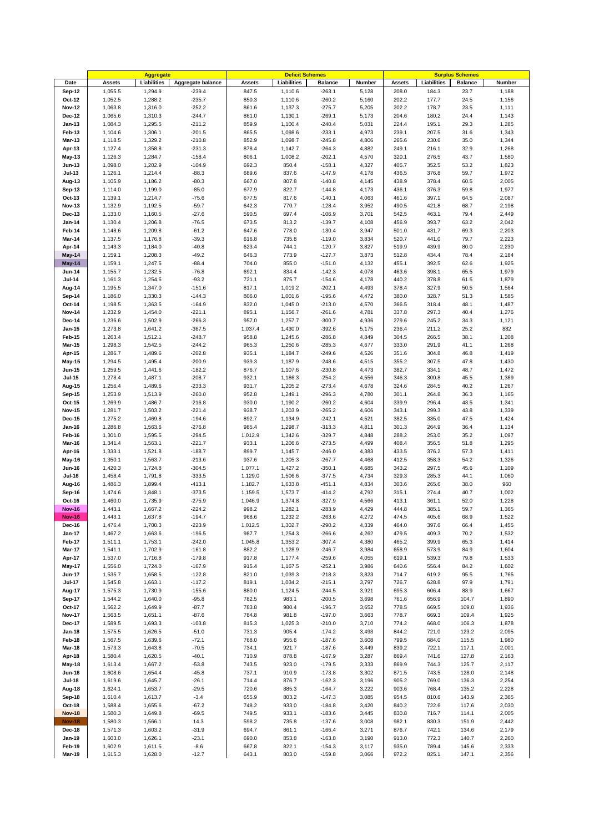|                         |         | <b>Aggregate</b> |                   |               | <b>Deficit Schemes</b> |                |        |               |             | <b>Surplus Schemes</b> |        |
|-------------------------|---------|------------------|-------------------|---------------|------------------------|----------------|--------|---------------|-------------|------------------------|--------|
| Date                    | Assets  | Liabilities      | Aggregate balance | <b>Assets</b> | Liabilities            | <b>Balance</b> | Number | <b>Assets</b> | Liabilities | <b>Balance</b>         | Number |
| Sep-12                  | 1,055.5 | 1,294.9          | $-239.4$          | 847.5         | 1,110.6                | $-263.1$       | 5,128  | 208.0         | 184.3       | 23.7                   | 1,188  |
| Oct-12                  | 1,052.5 | 1,288.2          | $-235.7$          | 850.3         | 1,110.6                | $-260.2$       | 5,160  | 202.2         | 177.7       | 24.5                   | 1,156  |
| <b>Nov-12</b>           | 1,063.8 | 1,316.0          | $-252.2$          | 861.6         | 1,137.3                | $-275.7$       | 5,205  | 202.2         | 178.7       | 23.5                   | 1,111  |
| Dec-12                  | 1,065.6 | 1,310.3          | $-244.7$          | 861.0         | 1,130.1                | $-269.1$       | 5,173  | 204.6         | 180.2       | 24.4                   | 1,143  |
| Jan-13                  | 1,084.3 | 1,295.5          | $-211.2$          | 859.9         | 1,100.4                | $-240.4$       | 5,031  | 224.4         | 195.1       | 29.3                   | 1,285  |
| Feb-13                  | 1,104.6 | 1,306.1          | $-201.5$          | 865.5         | 1,098.6                | $-233.1$       | 4,973  | 239.1         | 207.5       | 31.6                   | 1,343  |
| Mar-13                  | 1,118.5 | 1,329.2          | $-210.8$          | 852.9         | 1,098.7                | $-245.8$       | 4,806  | 265.6         | 230.6       | 35.0                   | 1,344  |
| Apr-13                  | 1,127.4 | 1,358.8          | $-231.3$          | 878.4         | 1,142.7                | $-264.3$       | 4,882  | 249.1         | 216.1       | 32.9                   |        |
|                         |         |                  |                   |               |                        |                |        |               |             |                        | 1,268  |
| May-13                  | 1,126.3 | 1,284.7          | $-158.4$          | 806.1         | 1,008.2                | $-202.1$       | 4,570  | 320.1         | 276.5       | 43.7                   | 1,580  |
| <b>Jun-13</b>           | 1,098.0 | 1,202.9          | $-104.9$          | 692.3         | 850.4                  | $-158.1$       | 4,327  | 405.7         | 352.5       | 53.2                   | 1,823  |
| <b>Jul-13</b>           | 1,126.1 | 1,214.4          | $-88.3$           | 689.6         | 837.6                  | $-147.9$       | 4,178  | 436.5         | 376.8       | 59.7                   | 1,972  |
| Aug-13                  | 1,105.9 | 1,186.2          | $-80.3$           | 667.0         | 807.8                  | $-140.8$       | 4,145  | 438.9         | 378.4       | 60.5                   | 2,005  |
| Sep-13                  | 1,114.0 | 1,199.0          | $-85.0$           | 677.9         | 822.7                  | $-144.8$       | 4,173  | 436.1         | 376.3       | 59.8                   | 1,977  |
| Oct-13                  | 1,139.1 | 1,214.7          | $-75.6$           | 677.5         | 817.6                  | $-140.1$       | 4,063  | 461.6         | 397.1       | 64.5                   | 2,087  |
| <b>Nov-13</b>           | 1,132.9 | 1,192.5          | $-59.7$           | 642.3         | 770.7                  | $-128.4$       | 3,952  | 490.5         | 421.8       | 68.7                   | 2,198  |
| Dec-13                  | 1,133.0 | 1,160.5          | $-27.6$           | 590.5         | 697.4                  | $-106.9$       | 3,701  | 542.5         | 463.1       | 79.4                   | 2,449  |
| <b>Jan-14</b>           | 1,130.4 | 1,206.8          | $-76.5$           | 673.5         | 813.2                  | $-139.7$       | 4,108  | 456.9         | 393.7       | 63.2                   | 2,042  |
| Feb-14                  | 1,148.6 | 1,209.8          | $-61.2$           | 647.6         | 778.0                  | $-130.4$       | 3,947  | 501.0         | 431.7       | 69.3                   | 2,203  |
| <b>Mar-14</b>           | 1,137.5 | 1,176.8          | $-39.3$           | 616.8         | 735.8                  | $-119.0$       | 3,834  | 520.7         | 441.0       | 79.7                   | 2,223  |
|                         |         |                  |                   | 623.4         |                        |                | 3,827  |               |             |                        |        |
| Apr-14                  | 1,143.3 | 1,184.0          | $-40.8$           |               | 744.1                  | $-120.7$       |        | 519.9         | 439.9       | 80.0                   | 2,230  |
| May-14                  | 1,159.1 | 1,208.3          | $-49.2$           | 646.3         | 773.9                  | $-127.7$       | 3,873  | 512.8         | 434.4       | 78.4                   | 2,184  |
| May-14                  | 1,159.1 | 1,247.5          | $-88.4$           | 704.0         | 855.0                  | $-151.0$       | 4,132  | 455.1         | 392.5       | 62.6                   | 1,925  |
| <b>Jun-14</b>           | 1,155.7 | 1,232.5          | $-76.8$           | 692.1         | 834.4                  | $-142.3$       | 4,078  | 463.6         | 398.1       | 65.5                   | 1,979  |
| <b>Jul-14</b>           | 1,161.3 | 1,254.5          | $-93.2$           | 721.1         | 875.7                  | $-154.6$       | 4,178  | 440.2         | 378.8       | 61.5                   | 1,879  |
| Aug-14                  | 1,195.5 | 1,347.0          | $-151.6$          | 817.1         | 1,019.2                | $-202.1$       | 4,493  | 378.4         | 327.9       | 50.5                   | 1,564  |
| Sep-14                  | 1,186.0 | 1,330.3          | $-144.3$          | 806.0         | 1,001.6                | $-195.6$       | 4,472  | 380.0         | 328.7       | 51.3                   | 1,585  |
| Oct-14                  | 1,198.5 | 1,363.5          | $-164.9$          | 832.0         | 1,045.0                | $-213.0$       | 4,570  | 366.5         | 318.4       | 48.1                   | 1,487  |
| <b>Nov-14</b>           | 1,232.9 | 1,454.0          | $-221.1$          | 895.1         | 1,156.7                | $-261.6$       | 4,781  | 337.8         | 297.3       | 40.4                   | 1,276  |
| <b>Dec-14</b>           | 1,236.6 | 1,502.9          | $-266.3$          | 957.0         | 1,257.7                | $-300.7$       | 4,936  | 279.6         | 245.2       | 34.3                   | 1,121  |
| Jan-15                  | 1,273.8 | 1,641.2          | $-367.5$          | 1,037.4       | 1,430.0                | $-392.6$       | 5,175  | 236.4         | 211.2       | 25.2                   | 882    |
| Feb-15                  | 1,263.4 | 1,512.1          | $-248.7$          | 958.8         | 1,245.6                | $-286.8$       | 4,849  | 304.5         | 266.5       | 38.1                   | 1,208  |
| <b>Mar-15</b>           | 1,298.3 | 1,542.5          | $-244.2$          | 965.3         | 1,250.6                | $-285.3$       | 4,677  | 333.0         | 291.9       | 41.1                   | 1,268  |
|                         |         |                  |                   |               |                        |                |        |               |             |                        |        |
| Apr-15                  | 1,286.7 | 1,489.6          | $-202.8$          | 935.1         | 1,184.7                | $-249.6$       | 4,526  | 351.6         | 304.8       | 46.8                   | 1,419  |
| May-15                  | 1,294.5 | 1,495.4          | $-200.9$          | 939.3         | 1,187.9                | $-248.6$       | 4,515  | 355.2         | 307.5       | 47.8                   | 1,430  |
| <b>Jun-15</b>           | 1,259.5 | 1,441.6          | $-182.2$          | 876.7         | 1,107.6                | $-230.8$       | 4,473  | 382.7         | 334.1       | 48.7                   | 1,472  |
| <b>Jul-15</b>           | 1,278.4 | 1,487.1          | $-208.7$          | 932.1         | 1,186.3                | $-254.2$       | 4,556  | 346.3         | 300.8       | 45.5                   | 1,389  |
| Aug-15                  | 1,256.4 | 1,489.6          | $-233.3$          | 931.7         | 1,205.2                | $-273.4$       | 4,678  | 324.6         | 284.5       | 40.2                   | 1,267  |
| <b>Sep-15</b>           | 1,253.9 | 1,513.9          | $-260.0$          | 952.8         | 1,249.1                | $-296.3$       | 4,780  | 301.1         | 264.8       | 36.3                   | 1,165  |
| $Oct-15$                | 1,269.9 | 1,486.7          | $-216.8$          | 930.0         | 1,190.2                | $-260.2$       | 4,604  | 339.9         | 296.4       | 43.5                   | 1,341  |
| <b>Nov-15</b>           | 1,281.7 | 1,503.2          | $-221.4$          | 938.7         | 1,203.9                | $-265.2$       | 4,606  | 343.1         | 299.3       | 43.8                   | 1,339  |
| Dec-15                  | 1,275.2 | 1,469.8          | $-194.6$          | 892.7         | 1,134.9                | $-242.1$       | 4,521  | 382.5         | 335.0       | 47.5                   | 1,424  |
| Jan-16                  | 1,286.8 | 1,563.6          | $-276.8$          | 985.4         | 1,298.7                | $-313.3$       | 4,811  | 301.3         | 264.9       | 36.4                   | 1,134  |
| Feb-16                  | 1,301.0 | 1,595.5          | $-294.5$          | 1,012.9       | 1,342.6                | $-329.7$       | 4,848  | 288.2         | 253.0       | 35.2                   | 1,097  |
| Mar-16                  | 1,341.4 | 1,563.1          | $-221.7$          | 933.1         | 1,206.6                | $-273.5$       | 4,499  | 408.4         | 356.5       | 51.8                   | 1,295  |
| Apr-16                  | 1,333.1 | 1,521.8          | $-188.7$          | 899.7         | 1,145.7                | $-246.0$       | 4,383  | 433.5         | 376.2       | 57.3                   | 1,411  |
|                         | 1,350.1 | 1,563.7          | $-213.6$          | 937.6         |                        | $-267.7$       | 4,468  | 412.5         | 358.3       | 54.2                   | 1,326  |
| May-16<br><b>Jun-16</b> | 1,420.3 |                  | $-304.5$          | 1,077.1       | 1,205.3<br>1,427.2     | $-350.1$       | 4,685  | 343.2         |             |                        |        |
|                         |         | 1,724.8          |                   |               |                        |                |        |               | 297.5       | 45.6                   | 1,109  |
| <b>Jul-16</b>           | 1,458.4 | 1,791.8          | $-333.5$          | 1,129.0       | 1,506.6                | $-377.5$       | 4,734  | 329.3         | 285.3       | 44.1                   | 1,060  |
| Aug-16                  | 1,486.3 | 1,899.4          | $-413.1$          | 1,182.7       | 1,633.8                | $-451.1$       | 4,834  | 303.6         | 265.6       | 38.0                   | 960    |
| <b>Sep-16</b>           | 1,474.6 | 1,848.1          | $-373.5$          | 1,159.5       | 1,573.7                | $-414.2$       | 4,792  | 315.1         | 274.4       | 40.7                   | 1,002  |
| Oct-16                  | 1,460.0 | 1,735.9          | $-275.9$          | 1,046.9       | 1,374.8                | $-327.9$       | 4,566  | 413.1         | 361.1       | 52.0                   | 1,228  |
| <b>Nov-16</b>           | 1,443.1 | 1,667.2          | $-224.2$          | 998.2         | 1,282.1                | $-283.9$       | 4,429  | 444.8         | 385.1       | 59.7                   | 1,365  |
| <b>Nov-16</b>           | 1,443.1 | 1,637.8          | -194.7            | 968.6         | 1,232.2                | -263.6         | 4,272  | 474.5         | 405.6       | 68.9                   | 1,522  |
| Dec-16                  | 1,476.4 | 1,700.3          | $-223.9$          | 1,012.5       | 1,302.7                | $-290.2$       | 4,339  | 464.0         | 397.6       | 66.4                   | 1,455  |
| <b>Jan-17</b>           | 1,467.2 | 1,663.6          | $-196.5$          | 987.7         | 1,254.3                | $-266.6$       | 4,262  | 479.5         | 409.3       | 70.2                   | 1,532  |
| Feb-17                  | 1,511.1 | 1,753.1          | $-242.0$          | 1,045.8       | 1,353.2                | $-307.4$       | 4,380  | 465.2         | 399.9       | 65.3                   | 1,414  |
| <b>Mar-17</b>           | 1,541.1 | 1,702.9          | $-161.8$          | 882.2         | 1,128.9                | $-246.7$       | 3,984  | 658.9         | 573.9       | 84.9                   | 1,604  |
| Apr-17                  | 1,537.0 | 1,716.8          | $-179.8$          | 917.8         | 1,177.4                | $-259.6$       | 4,055  | 619.1         | 539.3       | 79.8                   | 1,533  |
| <b>May-17</b>           | 1,556.0 | 1,724.0          | $-167.9$          | 915.4         | 1,167.5                | $-252.1$       | 3,986  | 640.6         | 556.4       | 84.2                   | 1,602  |
| <b>Jun-17</b>           | 1,535.7 | 1,658.5          | $-122.8$          | 821.0         | 1,039.3                | $-218.3$       | 3,823  | 714.7         | 619.2       | 95.5                   | 1,765  |
| <b>Jul-17</b>           | 1,545.8 | 1,663.1          | $-117.2$          | 819.1         | 1,034.2                | $-215.1$       | 3,797  | 726.7         | 628.8       | 97.9                   | 1,791  |
| Aug-17                  | 1,575.3 | 1,730.9          | $-155.6$          | 880.0         | 1,124.5                | $-244.5$       | 3,921  | 695.3         | 606.4       | 88.9                   | 1,667  |
| <b>Sep-17</b>           | 1,544.2 | 1,640.0          | $-95.8$           | 782.5         | 983.1                  | $-200.5$       | 3,698  | 761.6         | 656.9       | 104.7                  | 1,890  |
| Oct-17                  | 1,562.2 | 1,649.9          | $-87.7$           | 783.8         | 980.4                  | $-196.7$       | 3,652  | 778.5         | 669.5       | 109.0                  | 1,936  |
|                         |         |                  |                   |               |                        |                |        |               |             |                        |        |
| <b>Nov-17</b>           | 1,563.5 | 1,651.1          | $-87.6$           | 784.8         | 981.8                  | $-197.0$       | 3,663  | 778.7         | 669.3       | 109.4                  | 1,925  |
| Dec-17                  | 1,589.5 | 1,693.3          | $-103.8$          | 815.3         | 1,025.3                | $-210.0$       | 3,710  | 774.2         | 668.0       | 106.3                  | 1,878  |
| <b>Jan-18</b>           | 1,575.5 | 1,626.5          | $-51.0$           | 731.3         | 905.4                  | $-174.2$       | 3,493  | 844.2         | 721.0       | 123.2                  | 2,095  |
| Feb-18                  | 1,567.5 | 1,639.6          | $-72.1$           | 768.0         | 955.6                  | $-187.6$       | 3,608  | 799.5         | 684.0       | 115.5                  | 1,980  |
| <b>Mar-18</b>           | 1,573.3 | 1,643.8          | $-70.5$           | 734.1         | 921.7                  | $-187.6$       | 3,449  | 839.2         | 722.1       | 117.1                  | 2,001  |
| Apr-18                  | 1,580.4 | 1,620.5          | $-40.1$           | 710.9         | 878.8                  | $-167.9$       | 3,287  | 869.4         | 741.6       | 127.8                  | 2,163  |
| <b>May-18</b>           | 1,613.4 | 1,667.2          | $-53.8$           | 743.5         | 923.0                  | $-179.5$       | 3,333  | 869.9         | 744.3       | 125.7                  | 2,117  |
| <b>Jun-18</b>           | 1,608.6 | 1,654.4          | $-45.8$           | 737.1         | 910.9                  | $-173.8$       | 3,302  | 871.5         | 743.5       | 128.0                  | 2,148  |
| <b>Jul-18</b>           | 1,619.6 | 1,645.7          | $-26.1$           | 714.4         | 876.7                  | $-162.3$       | 3,196  | 905.2         | 769.0       | 136.3                  | 2,254  |
| Aug-18                  | 1,624.1 | 1,653.7          | $-29.5$           | 720.6         | 885.3                  | $-164.7$       | 3,222  | 903.6         | 768.4       | 135.2                  | 2,228  |
| <b>Sep-18</b>           | 1,610.4 | 1,613.7          | $-3.4$            | 655.9         | 803.2                  | $-147.3$       | 3,085  | 954.5         | 810.6       | 143.9                  | 2,365  |
| Oct-18                  | 1,588.4 | 1,655.6          | $-67.2$           | 748.2         | 933.0                  | $-184.8$       | 3,420  | 840.2         | 722.6       | 117.6                  | 2,030  |
| <b>Nov-18</b>           | 1,580.3 | 1,649.8          | $-69.5$           | 749.5         | 933.1                  | $-183.6$       | 3,445  | 830.8         | 716.7       | 114.1                  | 2,005  |
| <b>Nov-18</b>           | 1,580.3 | 1,566.1          | 14.3              | 598.2         | 735.8                  | $-137.6$       | 3,008  | 982.1         | 830.3       | 151.9                  | 2,442  |
|                         |         |                  |                   | 694.7         | 861.1                  |                |        |               |             |                        | 2,179  |
| Dec-18                  | 1,571.3 | 1,603.2          | $-31.9$           |               |                        | $-166.4$       | 3,271  | 876.7         | 742.1       | 134.6                  |        |
| <b>Jan-19</b>           | 1,603.0 | 1,626.1          | $-23.1$           | 690.0         | 853.8                  | $-163.8$       | 3,190  | 913.0         | 772.3       | 140.7                  | 2,260  |
| Feb-19                  | 1,602.9 | 1,611.5          | $-8.6$            | 667.8         | 822.1                  | $-154.3$       | 3,117  | 935.0         | 789.4       | 145.6                  | 2,333  |
| <b>Mar-19</b>           | 1,615.3 | 1,628.0          | $-12.7$           | 643.1         | 803.0                  | $-159.8$       | 3,066  | 972.2         | 825.1       | 147.1                  | 2,356  |